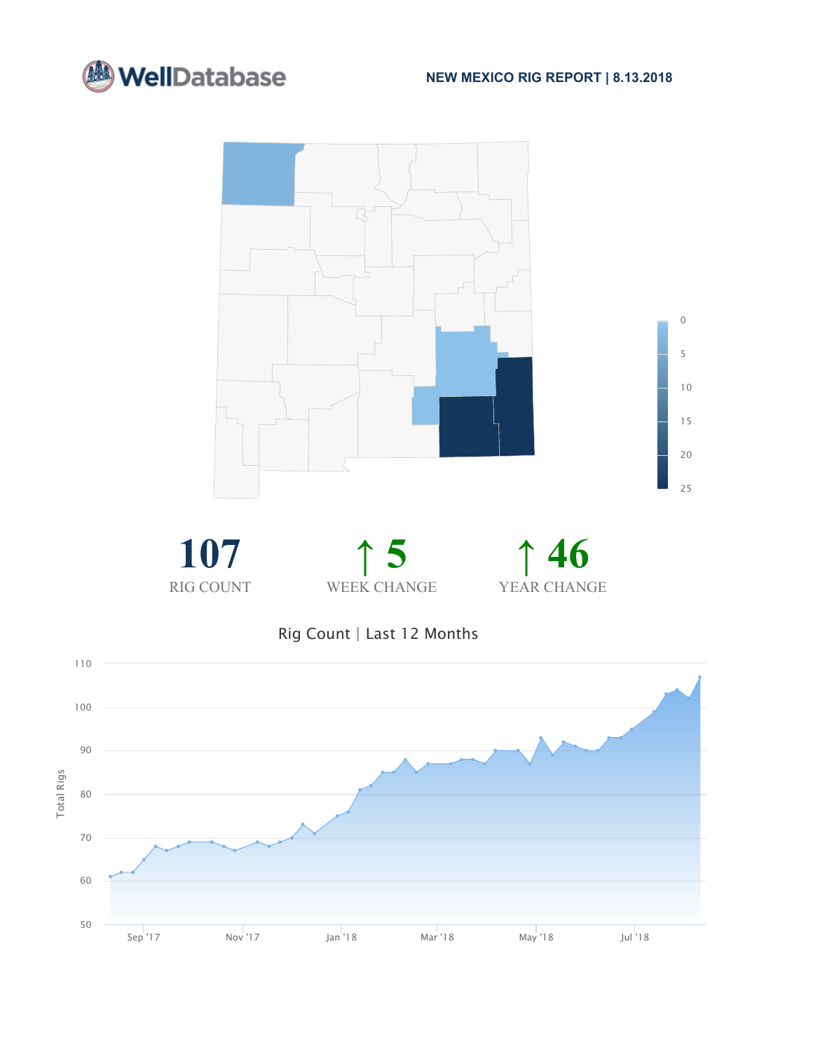



Rig Count | Last 12 Months

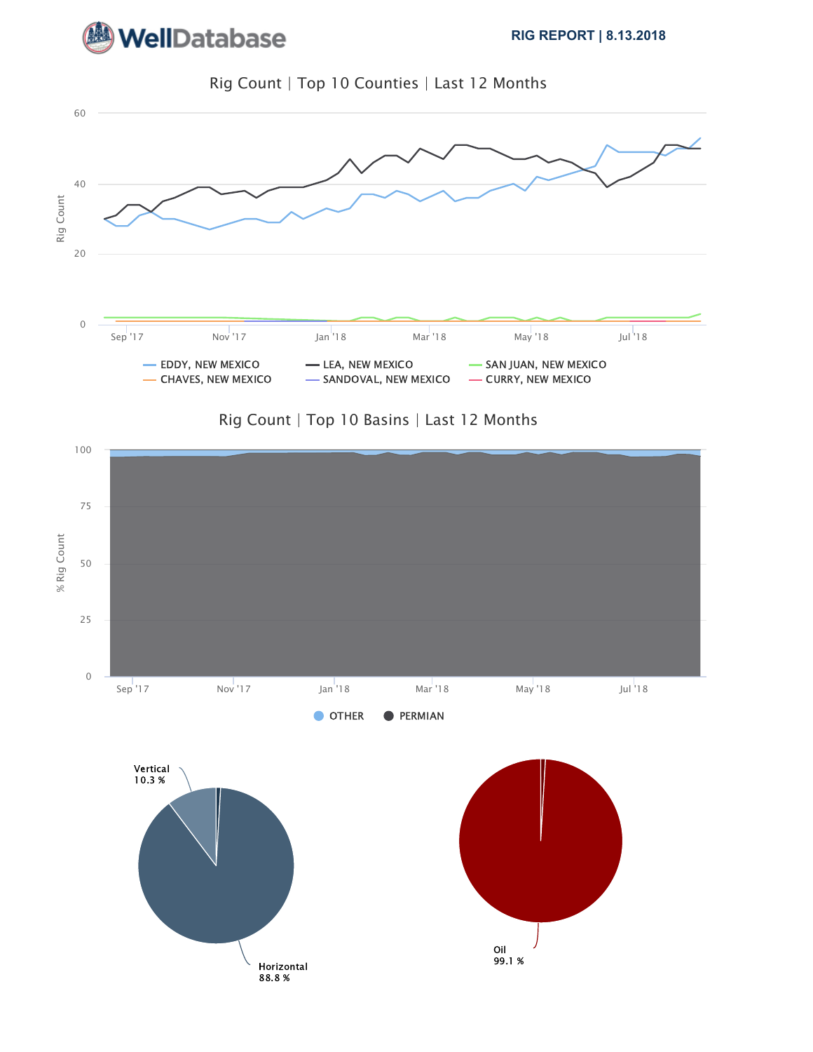**WellDatabase** 



Rig Count | Top 10 Counties | Last 12 Months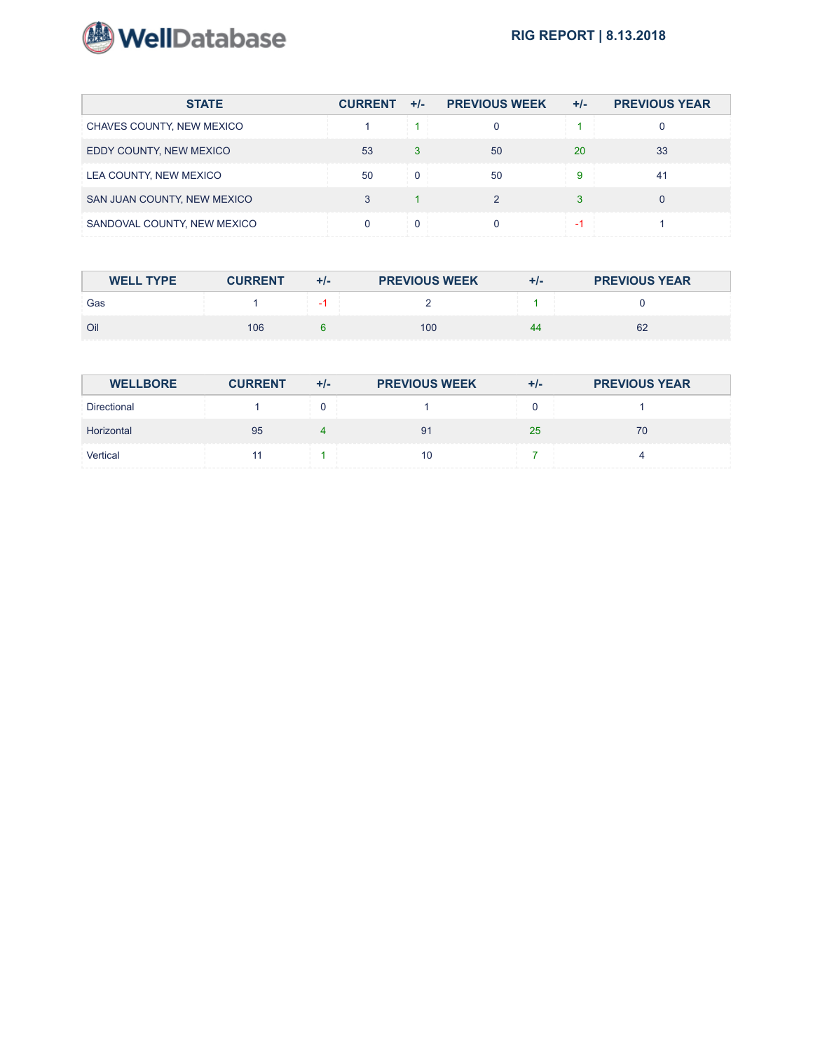

| <b>STATE</b>                | $CURRENT +/-$ | <b>PREVIOUS WEEK</b> | $+/-$ | <b>PREVIOUS YEAR</b> |
|-----------------------------|---------------|----------------------|-------|----------------------|
| CHAVES COUNTY, NEW MEXICO   |               |                      |       |                      |
| EDDY COUNTY, NEW MEXICO     | 53            | 50                   | 20    | 33                   |
| LEA COUNTY, NEW MEXICO      | 50            | 50                   |       |                      |
| SAN JUAN COUNTY, NEW MEXICO |               |                      |       |                      |
| SANDOVAL COUNTY, NEW MEXICO |               |                      |       |                      |

| <b>WELL TYPE</b> | <b>CURRENT</b> | $+/-$ | <b>PREVIOUS WEEK</b> | $+/-$ | <b>PREVIOUS YEAR</b> |
|------------------|----------------|-------|----------------------|-------|----------------------|
| Gas              |                |       |                      |       |                      |
| Oil              | 106            |       | 100                  | 44    | 62                   |

| <b>WELLBORE</b> | <b>CURRENT</b> | +/- | <b>PREVIOUS WEEK</b> | +/- | <b>PREVIOUS YEAR</b> |
|-----------------|----------------|-----|----------------------|-----|----------------------|
| Directional     |                |     |                      |     |                      |
| Horizontal      | 95             |     |                      | 25  | 70                   |
| Vertical        |                |     |                      |     |                      |